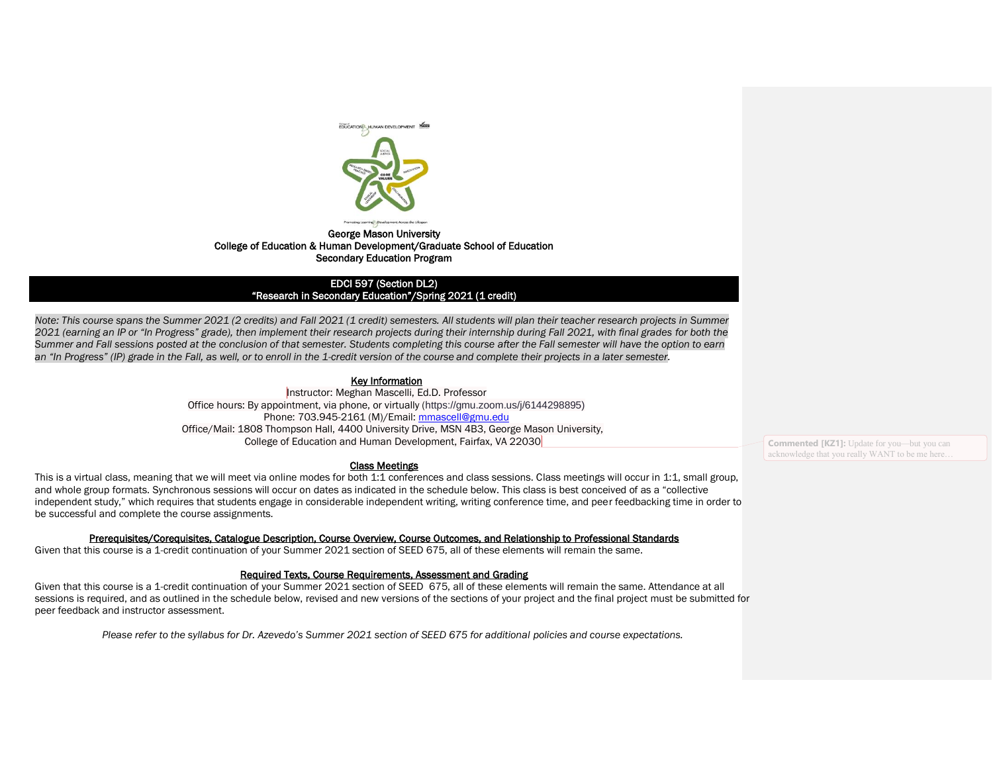

# George Mason University College of Education & Human Development/Graduate School of Education Secondary Education Program

### EDCI 597 (Section DL2) "Research in Secondary Education"/Spring 2021 (1 credit)

*Note: This course spans the Summer 2021 (2 credits) and Fall 2021 (1 credit) semesters. All students will plan their teacher research projects in Summer 2021 (earning an IP or "In Progress" grade), then implement their research projects during their internship during Fall 2021, with final grades for both the Summer and Fall sessions posted at the conclusion of that semester. Students completing this course after the Fall semester will have the option to earn*  an "In Progress" (IP) grade in the Fall, as well, or to enroll in the 1-credit version of the course and complete their projects in a later semester.

# **Key Information**

Instructor: Meghan Mascelli, Ed.D. Professor Office hours: By appointment, via phone, or virtually (https://gmu.zoom.us/j/6144298895) Phone: 703.945-2161 (M)/Email: [mmascell@gmu.edu](mailto:mmascell@gmu.edu) Office/Mail: 1808 Thompson Hall, 4400 University Drive, MSN 4B3, George Mason University, College of Education and Human Development, Fairfax, VA 22030

#### Class Meetings

This is a virtual class, meaning that we will meet via online modes for both 1:1 conferences and class sessions. Class meetings will occur in 1:1, small group, and whole group formats. Synchronous sessions will occur on dates as indicated in the schedule below. This class is best conceived of as a "collective independent study," which requires that students engage in considerable independent writing, writing conference time, and peer feedbacking time in order to be successful and complete the course assignments.

## Prerequisites/Corequisites, Catalogue Description, Course Overview, Course Outcomes, and Relationship to Professional Standards

Given that this course is a 1-credit continuation of your Summer 2021 section of SEED 675, all of these elements will remain the same.

## Required Texts, Course Requirements, Assessment and Grading

Given that this course is a 1-credit continuation of your Summer 2021 section of SEED 675, all of these elements will remain the same. Attendance at all sessions is required, and as outlined in the schedule below, revised and new versions of the sections of your project and the final project must be submitted for peer feedback and instructor assessment.

*Please refer to the syllabus for Dr. Azevedo's Summer 2021 section of SEED 675 for additional policies and course expectations.* 

**Commented [KZ1]:** Update for you—but you can acknowledge that you really WANT to be me here…